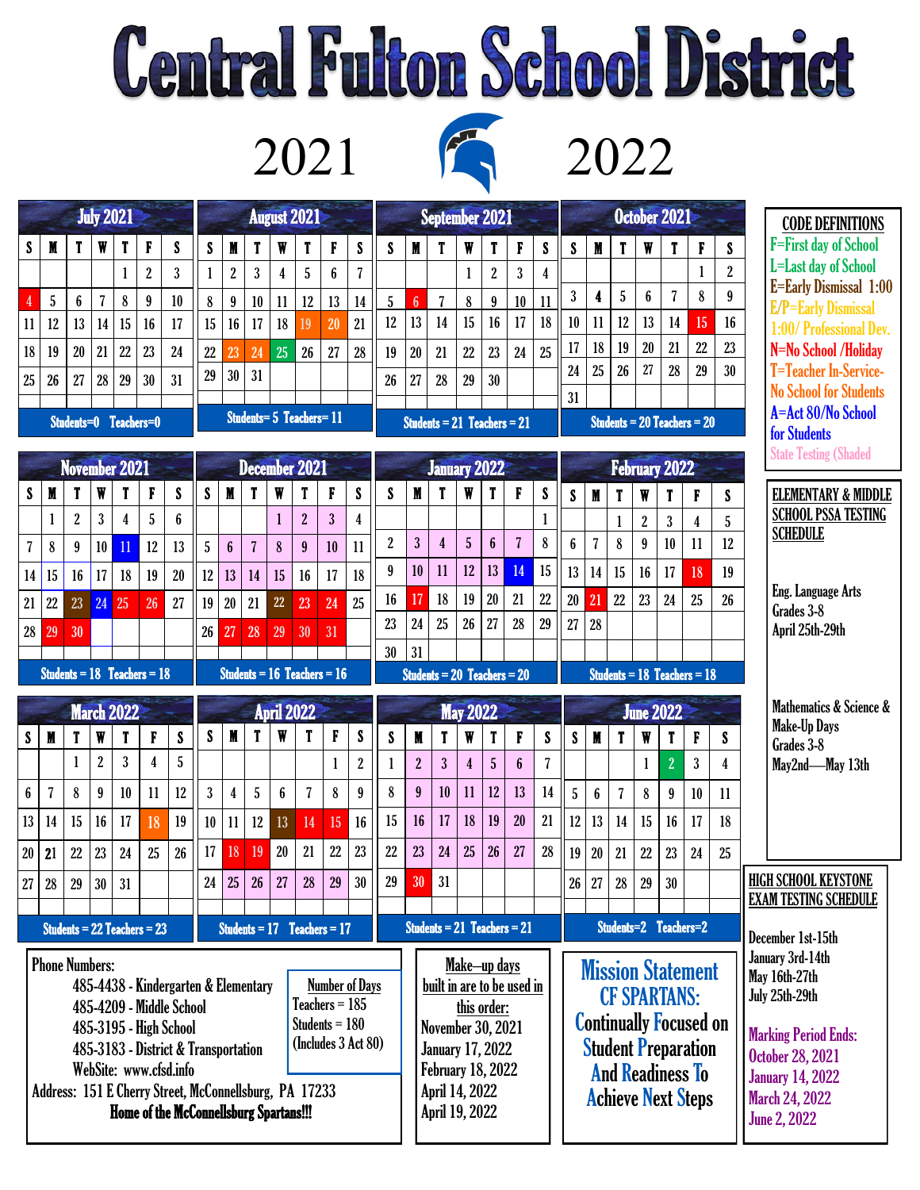## **Central Fulton School District**

2021 2022

August 2021

 $S$  | M | T | W | T | F | S 1 2 3 4 5 6 7 8 9 10 11 12 13 14 15 16 17 18 19 20 21 22 23 24 25 26 27 28

Students= 5 Teachers= 11

29 30 31

July 2021

 $S$  | M | T | W | T | F | S

4 5 6 7 8 9 10 11 12 13 14 15 16 17 18 19 20 21 22 23 24 25 | 26 | 27 | 28 | 29 | 30 | 31

Students=0 Teachers=0

 $1 \mid 2 \mid 3$ 



|            |                 |                                 | and the contract of |                |    |    |    |    |    |                      |    |                                    |                |  |  |  |  |  |  |
|------------|-----------------|---------------------------------|---------------------|----------------|----|----|----|----|----|----------------------|----|------------------------------------|----------------|--|--|--|--|--|--|
|            |                 | September 2021                  |                     |                |    |    |    |    |    | October 2021         |    |                                    |                |  |  |  |  |  |  |
| S          | M               | T                               | W                   | T              | F  | S  | S  | M  | T  | W                    | T  | F                                  | S              |  |  |  |  |  |  |
|            |                 |                                 | 1                   | $\overline{2}$ | 3  | 4  |    |    |    |                      |    | 1                                  | $\overline{2}$ |  |  |  |  |  |  |
| $\sqrt{5}$ | $6\overline{6}$ | 7                               | 8                   | 9              | 10 | 11 | 3  | 4  | 5  | 6                    | 7  | 8                                  | 9              |  |  |  |  |  |  |
| 12         | 13              | 14                              | 15                  | 16             | 17 | 18 | 10 | 11 | 12 | 13                   | 14 | 15                                 | 16             |  |  |  |  |  |  |
| 19         | 20              | 21                              | 22                  | 23             | 24 | 25 | 17 | 18 | 19 | 20                   | 21 | 22                                 | 23             |  |  |  |  |  |  |
| 26         | 27              | 28                              | 29                  | 30             |    |    | 24 | 25 | 26 | 27                   | 28 | 29                                 | 30             |  |  |  |  |  |  |
|            |                 |                                 |                     |                |    |    | 31 |    |    |                      |    |                                    |                |  |  |  |  |  |  |
|            |                 | Students $= 21$ Teachers $= 21$ |                     |                |    |    |    |    |    |                      |    | <b>Students = 20 Teachers = 20</b> |                |  |  |  |  |  |  |
|            |                 | <b>January 2022</b>             |                     |                |    |    |    |    |    | <b>February 2022</b> |    |                                    |                |  |  |  |  |  |  |
|            |                 |                                 |                     |                |    |    |    |    |    |                      |    |                                    |                |  |  |  |  |  |  |
| S          | M               | T                               | W                   | T              | F  | S  | S  | M  | T  | W                    | T  | F                                  | S              |  |  |  |  |  |  |
|            |                 |                                 |                     |                |    |    |    |    | 1  | 2                    | S  | $\lambda$                          | Ę,             |  |  |  |  |  |  |

CODE DEFINITIONS F=First day of School L=Last day of School E=Early Dismissal 1:00 E/P=Early Dismissal 1:00/ Professional Dev. N=No School /Holiday T=Teacher In-Service-No School for Students A=Act 80/No School for Students State Testing (Shaded

| <b>November 2021</b><br><b>December 2021</b>                                                                                                                                                                                                                                                                                                                                             |                |                  |                |                                 |                         |                |                   |                  | <b>January 2022</b>                                                                                                                                                       |              |                                 |                |                         |                |                |                                                                                                                                                                        |                         |                |                                 | February 2022             |                  | State Testing (Shaded                                                                                                                                                                    |                   |                  |                |                                    |    |                                               |
|------------------------------------------------------------------------------------------------------------------------------------------------------------------------------------------------------------------------------------------------------------------------------------------------------------------------------------------------------------------------------------------|----------------|------------------|----------------|---------------------------------|-------------------------|----------------|-------------------|------------------|---------------------------------------------------------------------------------------------------------------------------------------------------------------------------|--------------|---------------------------------|----------------|-------------------------|----------------|----------------|------------------------------------------------------------------------------------------------------------------------------------------------------------------------|-------------------------|----------------|---------------------------------|---------------------------|------------------|------------------------------------------------------------------------------------------------------------------------------------------------------------------------------------------|-------------------|------------------|----------------|------------------------------------|----|-----------------------------------------------|
| S                                                                                                                                                                                                                                                                                                                                                                                        | $\mathbf M$    | T                | W              | T                               | F                       | S              | S                 | $\mathbf M$      | T                                                                                                                                                                         | $\mathbf W$  | T                               | F              | S                       | S              | M              | T                                                                                                                                                                      | W                       | T              | F                               | S                         | S                | $\mathbf M$                                                                                                                                                                              | T                 | W                | T              | F                                  | S  | <b>ELEMENTARY &amp; MIDDLE</b>                |
|                                                                                                                                                                                                                                                                                                                                                                                          |                | $\boldsymbol{2}$ | $\overline{3}$ | 4                               | 5                       | ĥ              |                   |                  |                                                                                                                                                                           | $\mathbf{1}$ | $\overline{2}$                  | $\overline{3}$ | $\overline{\mathbf{4}}$ |                |                |                                                                                                                                                                        |                         |                |                                 | 1                         |                  |                                                                                                                                                                                          | $\mathbf{1}$      | $\overline{2}$   | $\overline{3}$ | $\overline{4}$                     | 5  | <b>SCHOOL PSSA TESTING</b><br><b>SCHEDULE</b> |
| $\overline{\mathbf{7}}$                                                                                                                                                                                                                                                                                                                                                                  | $\bf 8$        | 9                | 10             | 11                              | 12                      | 13             | $\sqrt{5}$        | $\boldsymbol{6}$ | $\overline{7}$                                                                                                                                                            | 8            | 9                               | 10             | 11                      | $\overline{2}$ | $\overline{3}$ | $\overline{4}$                                                                                                                                                         | $\overline{5}$          | $6\phantom{a}$ | $\overline{7}$                  | 8                         | $\boldsymbol{6}$ | $\overline{7}$                                                                                                                                                                           | 8                 | $\boldsymbol{9}$ | 10             | 11                                 | 12 |                                               |
| 14                                                                                                                                                                                                                                                                                                                                                                                       | 15             | 16               | 17             | 18                              | 19                      | 20             | 12                | 13               | 14                                                                                                                                                                        | 15           | 16                              | 17             | 18                      | 9              | 10             | 11                                                                                                                                                                     | 12                      | 13             | 14                              | 15                        | 13               | 14                                                                                                                                                                                       | 15                | 16               | 17             | 18                                 | 19 |                                               |
| 21                                                                                                                                                                                                                                                                                                                                                                                       | 22             | 23               | 24             | 25                              | 26                      | 27             | 19                | 20               | 21                                                                                                                                                                        | 22           | 23                              | 24             | 25                      | 16             | 17             | 18                                                                                                                                                                     | 19                      | 20             | 21                              | 22                        | 20               | 21                                                                                                                                                                                       | 22                | 23               | 24             | 25                                 | 26 | Eng. Language Arts<br>Grades 3-8              |
| 28                                                                                                                                                                                                                                                                                                                                                                                       | 29             | 30               |                |                                 |                         |                | 26                | $\overline{27}$  | 28                                                                                                                                                                        | 29           | 30                              | 31             |                         | 23             | 24             | 25                                                                                                                                                                     | 26                      | 27             | 28                              | 29                        | 27               | 28                                                                                                                                                                                       |                   |                  |                |                                    |    | April 25th-29th                               |
|                                                                                                                                                                                                                                                                                                                                                                                          |                |                  |                |                                 |                         |                |                   |                  |                                                                                                                                                                           |              |                                 |                |                         | 30             | 31             |                                                                                                                                                                        |                         |                |                                 |                           |                  |                                                                                                                                                                                          |                   |                  |                |                                    |    |                                               |
|                                                                                                                                                                                                                                                                                                                                                                                          |                |                  |                | Students = $18$ Teachers = $18$ |                         |                |                   |                  |                                                                                                                                                                           |              | Students = $16$ Teachers = $16$ |                |                         |                |                |                                                                                                                                                                        |                         |                | Students = $20$ Teachers = $20$ |                           |                  |                                                                                                                                                                                          |                   |                  |                | <b>Students = 18 Teachers = 18</b> |    |                                               |
|                                                                                                                                                                                                                                                                                                                                                                                          |                |                  |                | <b>March 2022</b>               |                         |                | <b>April 2022</b> |                  |                                                                                                                                                                           |              |                                 |                | <b>May 2022</b>         |                |                |                                                                                                                                                                        |                         |                | <b>June 2022</b>                |                           |                  |                                                                                                                                                                                          |                   |                  |                | Mathematics & Science &            |    |                                               |
| S                                                                                                                                                                                                                                                                                                                                                                                        | M              | T                | W              | T                               | F                       | S              | S                 | M                | T                                                                                                                                                                         | W            | T                               | F              | S                       | S              | M              | T                                                                                                                                                                      | W                       | T              | F                               | $\boldsymbol{\mathsf{S}}$ | S                | M                                                                                                                                                                                        | T                 | W                | T              | F                                  | S  | <b>Make-Up Days</b><br>Grades 3-8             |
|                                                                                                                                                                                                                                                                                                                                                                                          |                | 1                | $\overline{2}$ | $\overline{3}$                  | $\overline{\mathbf{4}}$ | $\overline{5}$ |                   |                  |                                                                                                                                                                           |              |                                 | $\mathbf{1}$   | $\overline{2}$          | $\mathbf{1}$   | $\overline{2}$ | $\overline{3}$                                                                                                                                                         | $\overline{\mathbf{4}}$ | $\overline{5}$ | $6\phantom{a}$                  | $\overline{7}$            |                  |                                                                                                                                                                                          |                   | $\mathbf{1}$     | $\overline{2}$ | 3                                  | 4  | May2nd-May 13th                               |
| $6\phantom{.}$                                                                                                                                                                                                                                                                                                                                                                           | $\overline{7}$ | 8                | 9              | 10                              | 11                      | 12             | $\mathbf{3}$      | 4                | $\overline{5}$                                                                                                                                                            | 6            | $\overline{7}$                  | 8              | $\overline{9}$          | 8              | 9              | 10                                                                                                                                                                     | 11                      | 12             | 13                              | 14                        | 5                | $6\phantom{1}$                                                                                                                                                                           | 7                 | 8                | 9              | 10                                 | 11 |                                               |
| 13                                                                                                                                                                                                                                                                                                                                                                                       | 14             | 15               | 16             | 17                              | 18                      | 19             | 10                | 11               | 12                                                                                                                                                                        | 13           | 14                              | 15             | 16                      | 15             | 16             | 17                                                                                                                                                                     | 18                      | 19             | 20                              | 21                        | 12               | 13                                                                                                                                                                                       | 14                | 15               | 16             | 17                                 | 18 |                                               |
| 20                                                                                                                                                                                                                                                                                                                                                                                       | 21             | 22               | 23             | 24                              | 25                      | 26             | 17                | 18               | 19                                                                                                                                                                        | 20           | 21                              | 22             | 23                      | 22             | 23             | 24                                                                                                                                                                     | 25                      | 26             | 27                              | 28                        | 19               | 20                                                                                                                                                                                       | 21                | 22               | 23             | 24                                 | 25 |                                               |
| 27                                                                                                                                                                                                                                                                                                                                                                                       | 28             | 29               | 30             | 31                              |                         |                | 24                | 25               | 26                                                                                                                                                                        | 27           | 28                              | 29             | 30                      | 29             | 30             | 31                                                                                                                                                                     |                         |                |                                 |                           | 26               | 27                                                                                                                                                                                       | 28                | 29               | 30             |                                    |    | <b>HIGH SCHOOL KEYSTONE</b>                   |
|                                                                                                                                                                                                                                                                                                                                                                                          |                |                  |                |                                 |                         |                |                   |                  |                                                                                                                                                                           |              |                                 |                |                         |                |                |                                                                                                                                                                        |                         |                |                                 |                           |                  |                                                                                                                                                                                          |                   |                  |                |                                    |    | <b>EXAM TESTING SCHEDULE</b>                  |
| Students = $22$ Teachers = $23$<br>Students = $17$ Teachers = $17$                                                                                                                                                                                                                                                                                                                       |                |                  |                |                                 |                         |                |                   |                  |                                                                                                                                                                           |              | Students = $21$ Teachers = $21$ |                |                         |                |                |                                                                                                                                                                        | Students=2 Teachers=2   |                |                                 |                           |                  |                                                                                                                                                                                          | December 1st-15th |                  |                |                                    |    |                                               |
| <b>Phone Numbers:</b><br><b>Number of Days</b><br>485-4438 - Kindergarten & Elementary<br>Teachers $= 185$<br>485-4209 - Middle School<br>Students $= 180$<br>485-3195 - High School<br>(Includes 3 Act 80)<br>485-3183 - District & Transportation<br>WebSite: www.cfsd.info<br>Address: 151 E Cherry Street, McConnellsburg, PA 17233<br><b>Home of the McConnellsburg Spartans!!!</b> |                |                  |                |                                 |                         |                |                   |                  | Make-up days<br>built in are to be used in<br>this order:<br><b>November 30, 2021</b><br>January 17, 2022<br><b>February 18, 2022</b><br>April 14, 2022<br>April 19, 2022 |              |                                 |                |                         |                |                | <b>Mission Statement</b><br><b>CF SPARTANS:</b><br><b>Continually Focused on</b><br><b>Student Preparation</b><br><b>And Readiness To</b><br><b>Achieve Next Steps</b> |                         |                |                                 |                           |                  | January 3rd-14th<br>May 16th-27th<br>July 25th-29th<br><b>Marking Period Ends:</b><br><b>October 28, 2021</b><br><b>January 14, 2022</b><br><b>March 24, 2022</b><br><b>June 2, 2022</b> |                   |                  |                |                                    |    |                                               |